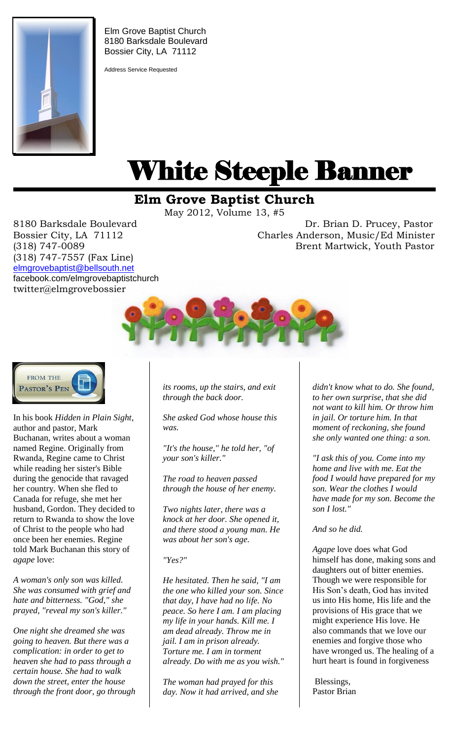

Elm Grove Baptist Church 8180 Barksdale Boulevard Bossier City, LA 71112

Address Service Requested

# White Steeple Banner ı

## **Elm Grove Baptist Church**

May 2012, Volume 13, #5

(318) 747-7557 (Fax Line) [elmgrovebaptist@bellsouth.net](mailto:elmgrovebaptist@bellsouth.net) facebook.com/elmgrovebaptistchurch twitter@elmgrovebossier

8180 Barksdale Boulevard Dr. Brian D. Prucey, Pastor Bossier City, LA 71112 Charles Anderson, Music/Ed Minister (318) 747-0089 Brent Martwick, Youth Pastor





In his book *Hidden in Plain Sight*, author and pastor, Mark Buchanan, writes about a woman named Regine. Originally from Rwanda, Regine came to Christ while reading her sister's Bible during the genocide that ravaged her country. When she fled to Canada for refuge, she met her husband, Gordon. They decided to return to Rwanda to show the love of Christ to the people who had once been her enemies. Regine told Mark Buchanan this story of *agape* love:

*A woman's only son was killed. She was consumed with grief and hate and bitterness. "God," she prayed, "reveal my son's killer."* 

*One night she dreamed she was going to heaven. But there was a complication: in order to get to heaven she had to pass through a certain house. She had to walk down the street, enter the house through the front door, go through*  *its rooms, up the stairs, and exit through the back door.* 

*She asked God whose house this was.* 

*"It's the house," he told her, "of your son's killer."* 

*The road to heaven passed through the house of her enemy.* 

*Two nights later, there was a knock at her door. She opened it, and there stood a young man. He was about her son's age.* 

#### *"Yes?"*

*He hesitated. Then he said, "I am the one who killed your son. Since that day, I have had no life. No peace. So here I am. I am placing my life in your hands. Kill me. I am dead already. Throw me in jail. I am in prison already. Torture me. I am in torment already. Do with me as you wish."* 

*The woman had prayed for this day. Now it had arrived, and she* 

*didn't know what to do. She found, to her own surprise, that she did not want to kill him. Or throw him in jail. Or torture him. In that moment of reckoning, she found she only wanted one thing: a son.* 

*"I ask this of you. Come into my home and live with me. Eat the food I would have prepared for my son. Wear the clothes I would have made for my son. Become the son I lost."* 

#### *And so he did.*

*Agape* love does what God himself has done, making sons and daughters out of bitter enemies. Though we were responsible for His Son's death, God has invited us into His home, His life and the provisions of His grace that we might experience His love. He also commands that we love our enemies and forgive those who have wronged us. The healing of a hurt heart is found in forgiveness

Blessings, Pastor Brian